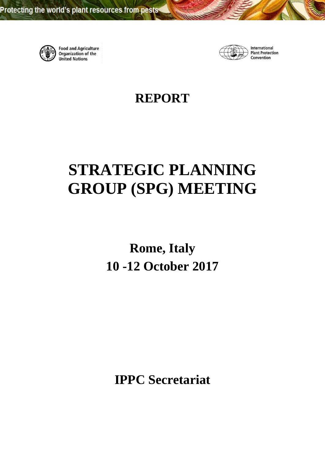

**Food and Agriculture Organization of the United Nations** 



International **Plant Protection** Convention

**REPORT**

# **STRATEGIC PLANNING GROUP (SPG) MEETING**

**Rome, Italy 10 -12 October 2017** 

**IPPC Secretariat**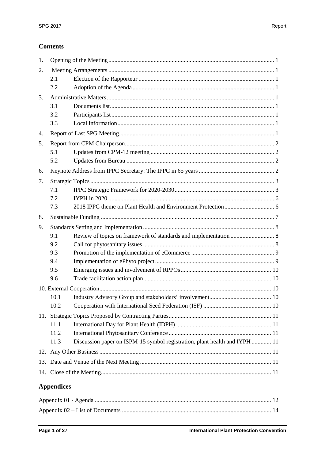# **Contents**

| 1.  |      |                                                                            |  |  |
|-----|------|----------------------------------------------------------------------------|--|--|
| 2.  |      |                                                                            |  |  |
|     | 2.1  |                                                                            |  |  |
|     | 2.2  |                                                                            |  |  |
| 3.  |      |                                                                            |  |  |
|     | 3.1  |                                                                            |  |  |
|     | 3.2  |                                                                            |  |  |
|     | 3.3  |                                                                            |  |  |
| 4.  |      |                                                                            |  |  |
| 5.  |      |                                                                            |  |  |
|     | 5.1  |                                                                            |  |  |
|     | 5.2  |                                                                            |  |  |
| 6.  |      |                                                                            |  |  |
| 7.  |      |                                                                            |  |  |
|     | 7.1  |                                                                            |  |  |
|     | 7.2  |                                                                            |  |  |
|     | 7.3  |                                                                            |  |  |
| 8.  |      |                                                                            |  |  |
| 9.  |      |                                                                            |  |  |
|     | 9.1  |                                                                            |  |  |
|     | 9.2  |                                                                            |  |  |
|     | 9.3  |                                                                            |  |  |
|     | 9.4  |                                                                            |  |  |
|     | 9.5  |                                                                            |  |  |
|     | 9.6  |                                                                            |  |  |
|     |      |                                                                            |  |  |
|     | 10.1 |                                                                            |  |  |
|     | 10.2 |                                                                            |  |  |
|     |      |                                                                            |  |  |
|     | 11.1 |                                                                            |  |  |
|     | 11.2 |                                                                            |  |  |
|     | 11.3 | Discussion paper on ISPM-15 symbol registration, plant health and IYPH  11 |  |  |
|     |      |                                                                            |  |  |
| 13. |      |                                                                            |  |  |
|     |      |                                                                            |  |  |
|     |      |                                                                            |  |  |
|     |      |                                                                            |  |  |

# **Appendices**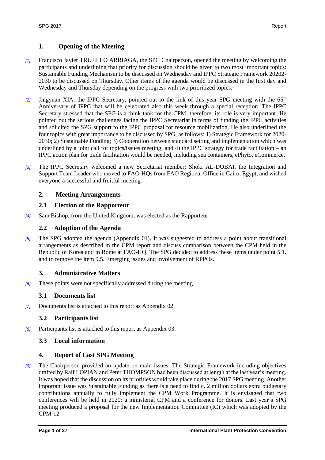# <span id="page-3-0"></span>**1. Opening of the Meeting**

- *[1]* Francisco Javier TRUJILLO ARRIAGA, the SPG Chairperson, opened the meeting by welcoming the participants and underlining that priority for discussion should be given to two most important topics: Sustainable Funding Mechanism to be discussed on Wednesday and IPPC Strategic Framework 20202- 2030 to be discussed on Thursday. Other items of the agenda would be discussed in the first day and Wednesday and Thursday depending on the progress with two prioritized topics.
- *[2]* Jingyuan XIA, the IPPC Secretary, pointed out to the link of this year SPG meeting with the 65th Anniversary of IPPC that will be celebrated also this week through a special reception. The IPPC Secretary stressed that the SPG is a think tank for the CPM, therefore, its role is very important. He pointed out the serious challenges facing the IPPC Secretariat in terms of funding the IPPC activities and solicited the SPG support to the IPPC proposal for resource mobilization. He also underlined the four topics with great importance to be discussed by SPG, as follows: 1) Strategic Framework for 2020- 2030; 2) Sustainable Funding; 3) Cooperation between standard setting and implementation which was underlined by a joint call for topics/issues meeting; and 4) the IPPC strategy for trade facilitation – an IPPC action plan for trade facilitation would be needed, including sea containers, ePhyto, eCommerce.
- *[3]* The IPPC Secretary welcomed a new Secretariat member: Shoki AL-DOBAI, the Integration and Support Team Leader who moved to FAO-HQs from FAO Regional Office in Cairo, Egypt, and wished everyone a successful and fruitful meeting.

## <span id="page-3-1"></span>**2. Meeting Arrangements**

## <span id="page-3-2"></span>**2.1 Election of the Rapporteur**

*[4]* Sam Bishop, from the United Kingdom, was elected as the Rapporteur.

#### <span id="page-3-3"></span>**2.2 Adoption of the Agenda**

*[5]* The SPG adopted the agenda (Appendix 01). It was suggested to address a point about transitional arrangements as described in the CPM report and discuss comparison between the CPM held in the Republic of Korea and in Rome at FAO-HQ. The SPG decided to address these items under point 5.1. and to remove the item 9.5. Emerging issues and involvement of RPPOs.

#### <span id="page-3-4"></span>**3. Administrative Matters**

*[6]* These points were not specifically addressed during the meeting.

#### <span id="page-3-5"></span>**3.1 Documents list**

*[7]* Documents list is attached to this report as Appendix 02.

# <span id="page-3-6"></span>**3.2 Participants list**

*[8]* Participants list is attached to this report as Appendix 03.

#### <span id="page-3-7"></span>**3.3 Local information**

#### <span id="page-3-8"></span>**4. Report of Last SPG Meeting**

*[9]* The Chairperson provided an update on main issues. The Strategic Framework including objectives drafted by Ralf LOPIAN and Peter THOMPSON had been discussed at length at the last year's meeting. It was hoped that the discussion on its priorities would take place during the 2017 SPG meeting. Another important issue was Sustainable Funding as there is a need to find c. 2 million dollars extra budgetary contributions annually to fully implement the CPM Work Programme. It is envisaged that two conferences will be held in 2020: a ministerial CPM and a conference for donors. Last year's SPG meeting produced a proposal for the new Implementation Committee (IC) which was adopted by the CPM-12.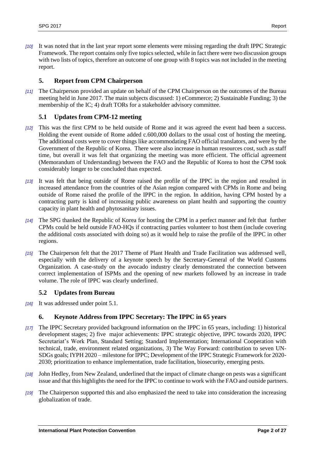*[10]* It was noted that in the last year report some elements were missing regarding the draft IPPC Strategic Framework. The report contains only five topics selected, while in fact there were two discussion groups with two lists of topics, therefore an outcome of one group with 8 topics was not included in the meeting report.

#### <span id="page-4-0"></span>**5. Report from CPM Chairperson**

*[11]* The Chairperson provided an update on behalf of the CPM Chairperson on the outcomes of the Bureau meeting held in June 2017. The main subjects discussed: 1) eCommerce; 2) Sustainable Funding; 3) the membership of the IC; 4) draft TORs for a stakeholder advisory committee.

## <span id="page-4-1"></span>**5.1 Updates from CPM-12 meeting**

- *[12]* This was the first CPM to be held outside of Rome and it was agreed the event had been a success. Holding the event outside of Rome added c.600,000 dollars to the usual cost of hosting the meeting. The additional costs were to cover things like accommodating FAO official translators, and were by the Government of the Republic of Korea. There were also increase in human resources cost, such as staff time, but overall it was felt that organizing the meeting was more efficient. The official agreement (Memorandum of Understanding) between the FAO and the Republic of Korea to host the CPM took considerably longer to be concluded than expected.
- *[13]* It was felt that being outside of Rome raised the profile of the IPPC in the region and resulted in increased attendance from the countries of the Asian region compared with CPMs in Rome and being outside of Rome raised the profile of the IPPC in the region. In addition, having CPM hosted by a contracting party is kind of increasing public awareness on plant health and supporting the country capacity in plant health and phytosanitary issues.
- *[14]* The SPG thanked the Republic of Korea for hosting the CPM in a perfect manner and felt that further CPMs could be held outside FAO-HQs if contracting parties volunteer to host them (include covering the additional costs associated with doing so) as it would help to raise the profile of the IPPC in other regions.
- *[15]* The Chairperson felt that the 2017 Theme of Plant Health and Trade Facilitation was addressed well, especially with the delivery of a keynote speech by the Secretary-General of the World Customs Organization. A case-study on the avocado industry clearly demonstrated the connection between correct implementation of ISPMs and the opening of new markets followed by an increase in trade volume. The role of IPPC was clearly underlined.

#### <span id="page-4-2"></span>**5.2 Updates from Bureau**

*[16]* It was addressed under point 5.1.

#### <span id="page-4-3"></span>**6. Keynote Address from IPPC Secretary: The IPPC in 65 years**

- *[17]* The IPPC Secretary provided background information on the IPPC in 65 years, including: 1) historical development stages; 2) five major achievements: IPPC strategic objective, IPPC towards 2020, IPPC Secretariat's Work Plan, Standard Setting; Standard Implementation; International Cooperation with technical, trade, environment related organizations, 3) The Way Forward: contribution to seven UN-SDGs goals; IYPH 2020 – milestone for IPPC; Development of the IPPC Strategic Framework for 2020- 2030; prioritization to enhance implementation, trade facilitation, biosecurity, emerging pests.
- *[18]* John Hedley, from New Zealand, underlined that the impact of climate change on pests was a significant issue and that this highlights the need for the IPPC to continue to work with the FAO and outside partners.
- *[19]* The Chairperson supported this and also emphasized the need to take into consideration the increasing globalization of trade.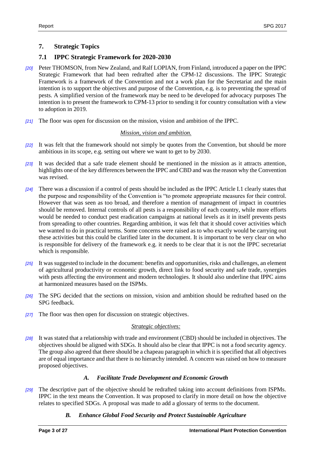## <span id="page-5-0"></span>**7. Strategic Topics**

## <span id="page-5-1"></span>**7.1 IPPC Strategic Framework for 2020-2030**

- *[20]* Peter THOMSON, from New Zealand, and Ralf LOPIAN, from Finland, introduced a paper on the IPPC Strategic Framework that had been redrafted after the CPM-12 discussions. The IPPC Strategic Framework is a framework of the Convention and not a work plan for the Secretariat and the main intention is to support the objectives and purpose of the Convention, e.g. is to preventing the spread of pests. A simplified version of the framework may be need to be developed for advocacy purposes The intention is to present the framework to CPM-13 prior to sending it for country consultation with a view to adoption in 2019.
- *[21]* The floor was open for discussion on the mission, vision and ambition of the IPPC.

#### *Mission, vision and ambition.*

- *[22]* It was felt that the framework should not simply be quotes from the Convention, but should be more ambitious in its scope, e.g. setting out where we want to get to by 2030.
- *[23]* It was decided that a safe trade element should be mentioned in the mission as it attracts attention, highlights one of the key differences between the IPPC and CBD and was the reason why the Convention was revised.
- *[24]* There was a discussion if a control of pests should be included as the IPPC Article I.1 clearly states that the purpose and responsibility of the Convention is "to promote appropriate measures for their control. However that was seen as too broad, and therefore a mention of management of impact in countries should be removed. Internal controls of all pests is a responsibility of each country, while more efforts would be needed to conduct pest eradication campaigns at national levels as it in itself prevents pests from spreading to other countries. Regarding ambition, it was felt that it should cover activities which we wanted to do in practical terms. Some concerns were raised as to who exactly would be carrying out these activities but this could be clarified later in the document. It is important to be very clear on who is responsible for delivery of the framework e.g. it needs to be clear that it is not the IPPC secretariat which is responsible.
- *[25]* It was suggested to include in the document: benefits and opportunities, risks and challenges, an element of agricultural productivity or economic growth, direct link to food security and safe trade, synergies with pests affecting the environment and modern technologies. It should also underline that IPPC aims at harmonized measures based on the ISPMs.
- *[26]* The SPG decided that the sections on mission, vision and ambition should be redrafted based on the SPG feedback.
- *[27]* The floor was then open for discussion on strategic objectives.

#### *Strategic objectives:*

*[28]* It was stated that a relationship with trade and environment (CBD) should be included in objectives. The objectives should be aligned with SDGs. It should also be clear that IPPC is not a food security agency. The group also agreed that there should be a chapeau paragraph in which it is specified that all objectives are of equal importance and that there is no hierarchy intended. A concern was raised on how to measure proposed objectives.

#### *A. Facilitate Trade Development and Economic Growth*

*[29]* The descriptive part of the objective should be redrafted taking into account definitions from ISPMs. IPPC in the text means the Convention. It was proposed to clarify in more detail on how the objective relates to specified SDGs. A proposal was made to add a glossary of terms to the document.

#### *B. Enhance Global Food Security and Protect Sustainable Agriculture*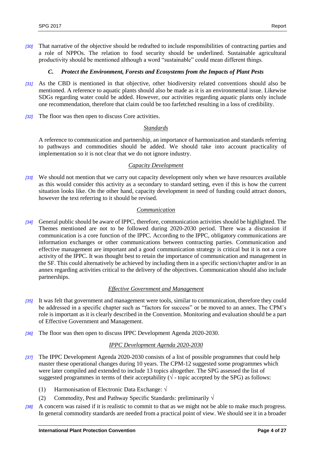*[30]* That narrative of the objective should be redrafted to include responsibilities of contracting parties and a role of NPPOs. The relation to food security should be underlined. Sustainable agricultural productivity should be mentioned although a word "sustainable" could mean different things.

#### *C. Protect the Environment, Forests and Ecosystems from the Impacts of Plant Pests*

- *[31]* As the CBD is mentioned in that objective, other biodiversity related conventions should also be mentioned. A reference to aquatic plants should also be made as it is an environmental issue. Likewise SDGs regarding water could be added. However, our activities regarding aquatic plants only include one recommendation, therefore that claim could be too farfetched resulting in a loss of credibility.
- *[32]* The floor was then open to discuss Core activities.

#### *Standards*

A reference to communication and partnership, an importance of harmonization and standards referring to pathways and commodities should be added. We should take into account practicality of implementation so it is not clear that we do not ignore industry.

#### *Capacity Development*

*[33]* We should not mention that we carry out capacity development only when we have resources available as this would consider this activity as a secondary to standard setting, even if this is how the current situation looks like. On the other hand, capacity development in need of funding could attract donors, however the text referring to it should be revised.

#### *Communication*

*[34]* General public should be aware of IPPC, therefore, communication activities should be highlighted. The Themes mentioned are not to be followed during 2020-2030 period. There was a discussion if communication is a core function of the IPPC. According to the IPPC, obligatory communications are information exchanges or other communications between contracting parties. Communication and effective management are important and a good communication strategy is critical but it is not a core activity of the IPPC. It was thought best to retain the importance of communication and management in the SF. This could alternatively be achieved by including them in a specific section/chapter and/or in an annex regarding activities critical to the delivery of the objectives. Communication should also include partnerships.

#### *Effective Government and Management*

- *[35]* It was felt that government and management were tools, similar to communication, therefore they could be addressed in a specific chapter such as "factors for success" or be moved to an annex. The CPM's role is important as it is clearly described in the Convention. Monitoring and evaluation should be a part of Effective Government and Management.
- *[36]* The floor was then open to discuss IPPC Development Agenda 2020-2030.

#### *IPPC Development Agenda 2020-2030*

- *[37]* The IPPC Development Agenda 2020-2030 consists of a list of possible programmes that could help master these operational changes during 10 years. The CPM-12 suggested some programmes which were later compiled and extended to include 13 topics altogether. The SPG assessed the list of suggested programmes in terms of their acceptability ( $\sqrt{\ }$  - topic accepted by the SPG) as follows:
	- (1) Harmonisation of Electronic Data Exchange: √
	- (2) Commodity, Pest and Pathway Specific Standards: preliminarily  $\sqrt{}$
- *[38]* A concern was raised if it is realistic to commit to that as we might not be able to make much progress. In general commodity standards are needed from a practical point of view. We should see it in a broader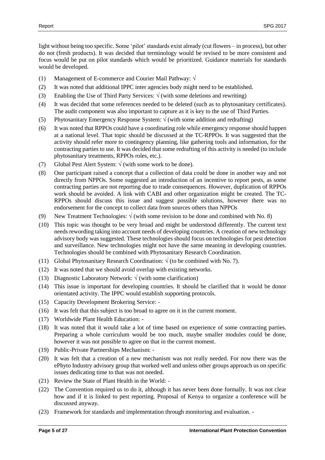light without being too specific. Some 'pilot' standards exist already (cut flowers – in process), but other do not (fresh products). It was decided that terminology would be revised to be more consistent and focus would be put on pilot standards which would be prioritized. Guidance materials for standards would be developed.

- (1) Management of E-commerce and Courier Mail Pathway: √
- (2) It was noted that additional IPPC inter agencies body might need to be established.
- (3) Enabling the Use of Third Party Services:  $\sqrt{(with some deletions and rewriting)}$
- (4) It was decided that some references needed to be deleted (such as to phytosanitary certificates). The audit component was also important to capture as it is key to the use of Third Parties.
- (5) Phytosanitary Emergency Response System:  $\sqrt{(with some addition and redrafting)}$
- (6) It was noted that RPPOs could have a coordinating role while emergency response should happen at a national level. That topic should be discussed at the TC-RPPOs. It was suggested that the activity should refer more to contingency planning, like gathering tools and information, for the contracting parties to use. It was decided that some redrafting of this activity is needed (to include phytosanitary treatments, RPPOs roles, etc.).
- (7) Global Pest Alert System:  $\sqrt{(with some work to be done)}$ .
- (8) One participant raised a concept that a collection of data could be done in another way and not directly from NPPOs. Some suggested an introduction of an incentive to report pests, as some contracting parties are not reporting due to trade consequences. However, duplication of RPPOs work should be avoided. A link with CABI and other organization might be created. The TC-RPPOs should discuss this issue and suggest possible solutions, however there was no endorsement for the concept to collect data from sources others than NPPOs
- (9) New Treatment Technologies:  $\sqrt{(with some revision to be done and combined with No. 8)}$
- (10) This topic was thought to be very broad and might be understood differently. The current text needs rewording taking into account needs of developing countries. A creation of new technology advisory body was suggested. These technologies should focus on technologies for pest detection and surveillance. New technologies might not have the same meaning in developing countries. Technologies should be combined with Phytosanitary Research Coordination.
- (11) Global Phytosanitary Research Coordination:  $\sqrt{(to be combined with No. 7)}$ .
- (12) It was noted that we should avoid overlap with existing networks.
- (13) Diagnostic Laboratory Network:  $\sqrt{(with some clarification)}$
- (14) This issue is important for developing countries. It should be clarified that it would be donor orientated activity. The IPPC would establish supporting protocols.
- (15) Capacity Development Brokering Service: -
- (16) It was felt that this subject is too broad to agree on it in the current moment.
- (17) Worldwide Plant Health Education: -
- (18) It was noted that it would take a lot of time based on experience of some contracting parties. Preparing a whole curriculum would be too much, maybe smaller modules could be done, however it was not possible to agree on that in the current moment.
- (19) Public-Private Partnerships Mechanism: -
- (20) It was felt that a creation of a new mechanism was not really needed. For now there was the ePhyto Industry advisory group that worked well and unless other groups approach us on specific issues dedicating time to that was not needed.
- (21) Review the State of Plant Health in the World: -
- (22) The Convention required us to do it, although it has never been done formally. It was not clear how and if it is linked to pest reporting. Proposal of Kenya to organize a conference will be discussed anyway.
- (23) Framework for standards and implementation through monitoring and evaluation. -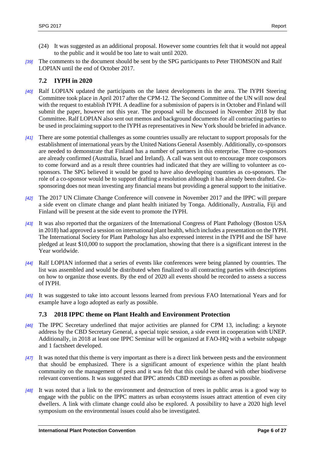- (24) It was suggested as an additional proposal. However some countries felt that it would not appeal to the public and it would be too late to wait until 2020.
- *[39]* The comments to the document should be sent by the SPG participants to Peter THOMSON and Ralf LOPIAN until the end of October 2017.

#### <span id="page-8-0"></span>**7.2 IYPH in 2020**

- *[40]* Ralf LOPIAN updated the participants on the latest developments in the area. The IYPH Steering Committee took place in April 2017 after the CPM-12. The Second Committee of the UN will now deal with the request to establish IYPH. A deadline for a submission of papers is in October and Finland will submit the paper, however not this year. The proposal will be discussed in November 2018 by that Committee. Ralf LOPIAN also sent out memos and background documents for all contracting parties to be used in proclaiming support to the IYPH as representatives in New York should be briefed in advance.
- *[41]* There are some potential challenges as some countries usually are reluctant to support proposals for the establishment of international years by the United Nations General Assembly. Additionally, co-sponsors are needed to demonstrate that Finland has a number of partners in this enterprise. Three co-sponsors are already confirmed (Australia, Israel and Ireland). A call was sent out to encourage more cosponsors to come forward and as a result three countries had indicated that they are willing to volunteer as cosponsors. The SPG believed it would be good to have also developing countries as co-sponsors. The role of a co-sponsor would be to support drafting a resolution although it has already been drafted. Cosponsoring does not mean investing any financial means but providing a general support to the initiative.
- *[42]* The 2017 UN Climate Change Conference will convene in November 2017 and the IPPC will prepare a side event on climate change and plant health initiated by Tonga. Additionally, Australia, Fiji and Finland will be present at the side event to promote the IYPH.
- *[43]* It was also reported that the organizers of the International Congress of Plant Pathology (Boston USA in 2018) had approved a session on international plant health, which includes a presentation on the IYPH. The International Society for Plant Pathology has also expressed interest in the IYPH and the ISF have pledged at least \$10,000 to support the proclamation, showing that there is a significant interest in the Year worldwide.
- *[44]* Ralf LOPIAN informed that a series of events like conferences were being planned by countries. The list was assembled and would be distributed when finalized to all contracting parties with descriptions on how to organize those events. By the end of 2020 all events should be recorded to assess a success of IYPH.
- *[45]* It was suggested to take into account lessons learned from previous FAO International Years and for example have a logo adopted as early as possible.

# <span id="page-8-1"></span>**7.3 2018 IPPC theme on Plant Health and Environment Protection**

- *[46]* The IPPC Secretary underlined that major activities are planned for CPM 13, including: a keynote address by the CBD Secretary General, a special topic session, a side event in cooperation with UNEP. Additionally, in 2018 at least one IPPC Seminar will be organized at FAO-HQ with a website subpage and 1 factsheet developed.
- *[47]* It was noted that this theme is very important as there is a direct link between pests and the environment that should be emphasized. There is a significant amount of experience within the plant health community on the management of pests and it was felt that this could be shared with other biodiverse relevant conventions. It was suggested that IPPC attends CBD meetings as often as possible.
- *[48]* It was noted that a link to the environment and destruction of trees in public areas is a good way to engage with the public on the IPPC matters as urban ecosystems issues attract attention of even city dwellers. A link with climate change could also be explored. A possibility to have a 2020 high level symposium on the environmental issues could also be investigated.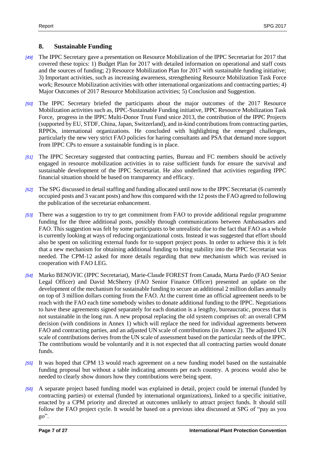#### <span id="page-9-0"></span>**8. Sustainable Funding**

- *[49]* The IPPC Secretary gave a presentation on Resource Mobilization of the IPPC Secretariat for 2017 that covered these topics: 1) Budget Plan for 2017 with detailed information on operational and staff costs and the sources of funding; 2) Resource Mobilization Plan for 2017 with sustainable funding initiative; 3) Important activities, such as increasing awareness, strengthening Resource Mobilization Task Force work; Resource Mobilization activities with other international organizations and contracting parties; 4) Major Outcomes of 2017 Resource Mobilization activities; 5) Conclusion and Suggestion.
- *[50]* The IPPC Secretary briefed the participants about the major outcomes of the 2017 Resource Mobilization activities such as, IPPC-Sustainable Funding initiative, IPPC Resource Mobilization Task Force, progress in the IPPC Multi-Donor Trust Fund snice 2013, the contribution of the IPPC Projects (supported by EU, STDF, China, Japan, Switzerland), and in-kind contributions from contracting parties, RPPOs, international organizations. He concluded with highlighting the emerged challenges, particularly the new very strict FAO policies for haring consultants and PSA that demand more support from IPPC CPs to ensure a sustainable funding is in place.
- *[51]* The IPPC Secretary suggested that contracting parties, Bureau and FC members should be actively engaged in resource mobilization activities in to raise sufficient funds for ensure the survival and sustainable development of the IPPC Secretariat. He also underlined that activities regarding IPPC financial situation should be based on transparency and efficacy.
- *[52]* The SPG discussed in detail staffing and funding allocated until now to the IPPC Secretariat (6 currently occupied posts and 3 vacant posts) and how this compared with the 12 posts the FAO agreed to following the publication of the secretariat enhancement.
- *[53]* There was a suggestion to try to get commitment from FAO to provide additional regular programme funding for the three additional posts, possibly through communications between Ambassadors and FAO. This suggestion was felt by some participants to be unrealistic due to the fact that FAO as a whole is currently looking at ways of reducing organizational costs. Instead it was suggested that effort should also be spent on soliciting external funds for to support project posts. In order to achieve this it is felt that a new mechanism for obtaining additional funding to bring stability into the IPPC Secretariat was needed. The CPM-12 asked for more details regarding that new mechanism which was revised in cooperation with FAO LEG.
- *[54]* Marko BENOVIC (IPPC Secretariat), Marie-Claude FOREST from Canada, Marta Pardo (FAO Senior Legal Officer) and David McSherry (FAO Senior Finance Officer) presented an update on the development of the mechanism for sustainable funding to secure an additional 2 million dollars annually on top of 3 million dollars coming from the FAO. At the current time an official agreement needs to be reach with the FAO each time somebody wishes to donate additional funding to the IPPC. Negotiations to have these agreements signed separately for each donation is a lengthy, bureaucratic, process that is not sustainable in the long run. A new proposal replacing the old system comprises of: an overall CPM decision (with conditions in Annex 1) which will replace the need for individual agreements between FAO and contracting parties, and an adjusted UN scale of contributions (in Annex 2). The adjusted UN scale of contributions derives from the UN scale of assessment based on the particular needs of the IPPC. The contributions would be voluntarily and it is not expected that all contracting parties would donate funds.
- *[55]* It was hoped that CPM 13 would reach agreement on a new funding model based on the sustainable funding proposal but without a table indicating amounts per each country. A process would also be needed to clearly show donors how they contributions were being spent.
- *[56]* A separate project based funding model was explained in detail, project could be internal (funded by contracting parties) or external (funded by international organizations), linked to a specific initiative, enacted by a CPM priority and directed at outcomes unlikely to attract project funds. It should still follow the FAO project cycle. It would be based on a previous idea discussed at SPG of "pay as you  $go$ ".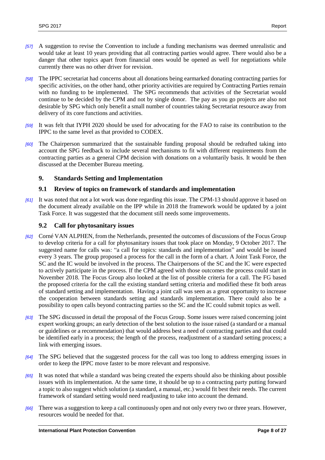- *[57]* A suggestion to revise the Convention to include a funding mechanisms was deemed unrealistic and would take at least 10 years providing that all contracting parties would agree. There would also be a danger that other topics apart from financial ones would be opened as well for negotiations while currently there was no other driver for revision.
- *[58]* The IPPC secretariat had concerns about all donations being earmarked donating contracting parties for specific activities, on the other hand, other priority activities are required by Contracting Parties remain with no funding to be implemented. The SPG recommends that activities of the Secretariat would continue to be decided by the CPM and not by single donor. The pay as you go projects are also not desirable by SPG which only benefit a small number of countries taking Secretariat resource away from delivery of its core functions and activities.
- *[59]* It was felt that IYPH 2020 should be used for advocating for the FAO to raise its contribution to the IPPC to the same level as that provided to CODEX.
- *[60]* The Chairperson summarized that the sustainable funding proposal should be redrafted taking into account the SPG feedback to include several mechanisms to fit with different requirements from the contracting parties as a general CPM decision with donations on a voluntarily basis. It would be then discussed at the December Bureau meeting.

## <span id="page-10-0"></span>**9. Standards Setting and Implementation**

#### <span id="page-10-1"></span>**9.1 Review of topics on framework of standards and implementation**

*[61]* It was noted that not a lot work was done regarding this issue. The CPM-13 should approve it based on the document already available on the IPP while in 2018 the framework would be updated by a joint Task Force. It was suggested that the document still needs some improvements.

#### <span id="page-10-2"></span>**9.2 Call for phytosanitary issues**

- *[62]* Corné VAN ALPHEN, from the Netherlands, presented the outcomes of discussions of the Focus Group to develop criteria for a call for phytosanitary issues that took place on Monday, 9 October 2017. The suggested name for calls was: "a call for topics: standards and implementation" and would be issued every 3 years. The group proposed a process for the call in the form of a chart. A Joint Task Force, the SC and the IC would be involved in the process. The Chairpersons of the SC and the IC were expected to actively participate in the process. If the CPM agreed with those outcomes the process could start in November 2018. The Focus Group also looked at the list of possible criteria for a call. The FG based the proposed criteria for the call the existing standard setting criteria and modified these fit both areas of standard setting and implementation. Having a joint call was seen as a great opportunity to increase the cooperation between standards setting and standards implementation. There could also be a possibility to open calls beyond contracting parties so the SC and the IC could submit topics as well.
- *[63]* The SPG discussed in detail the proposal of the Focus Group. Some issues were raised concerning joint expert working groups; an early detection of the best solution to the issue raised (a standard or a manual or guidelines or a recommendation) that would address best a need of contracting parties and that could be identified early in a process; the length of the process, readjustment of a standard setting process; a link with emerging issues.
- *[64]* The SPG believed that the suggested process for the call was too long to address emerging issues in order to keep the IPPC move faster to be more relevant and responsive.
- *[65]* It was noted that while a standard was being created the experts should also be thinking about possible issues with its implementation. At the same time, it should be up to a contracting party putting forward a topic to also suggest which solution (a standard, a manual, etc.) would fit best their needs. The current framework of standard setting would need readjusting to take into account the demand.
- *[66]* There was a suggestion to keep a call continuously open and not only every two or three years. However, resources would be needed for that.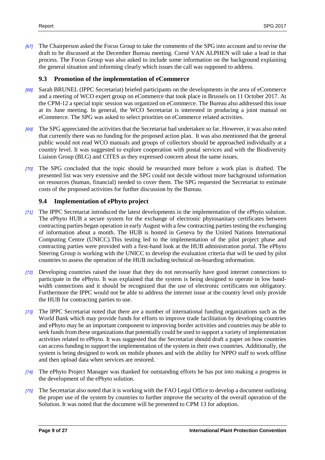*[67]* The Chairperson asked the Focus Group to take the comments of the SPG into account and to revise the draft to be discussed at the December Bureau meeting. Corné VAN ALPHEN will take a lead in that process. The Focus Group was also asked to include some information on the background explaining the general situation and informing clearly which issues the call was supposed to address.

#### <span id="page-11-0"></span>**9.3 Promotion of the implementation of eCommerce**

- *[68]* Sarah BRUNEL (IPPC Secretariat) briefed participants on the developments in the area of eCommerce and a meeting of WCO expert group on eCommerce that took place in Brussels on 11 October 2017. At the CPM-12 a special topic session was organized on eCommerce. The Bureau also addressed this issue at its June meeting. In general, the WCO Secretariat is interested in producing a joint manual on eCommerce. The SPG was asked to select priorities on eCommerce related activities.
- *[69]* The SPG appreciated the activities that the Secretariat had undertaken so far. However, it was also noted that currently there was no funding for the proposed action plan. It was also mentioned that the general public would not read WCO manuals and groups of collectors should be approached individually at a country level. It was suggested to explore cooperation with postal services and with the Biodiversity Liaison Group (BLG) and CITES as they expressed concern about the same issues.
- *[70]* The SPG concluded that the topic should be researched more before a work plan is drafted. The presented list was very extensive and the SPG could not decide without more background information on resources (human, financial) needed to cover them. The SPG requested the Secretariat to estimate costs of the proposed activities for further discussion by the Bureau.

## <span id="page-11-1"></span>**9.4 Implementation of ePhyto project**

- *[71]* The IPPC Secretariat introduced the latest developments in the implementation of the ePhyto solution. The ePhyto HUB a secure system for the exchange of electronic phytosanitary certificates between contracting parties began operation in early August with a few contracting parties testing the exchanging of information about a month. The HUB is hosted in Geneva by the United Nations International Computing Centre (UNICC).This testing led to the implementation of the pilot project phase and contracting parties were provided with a first-hand look at the HUB administration portal. The ePhyto Steering Group is working with the UNICC to develop the evaluation criteria that will be used by pilot countries to assess the operation of the HUB including technical on-boarding information.
- *[72]* Developing countries raised the issue that they do not necessarily have good internet connections to participate in the ePhyto. It was explained that the system is being designed to operate in low bandwidth connections and it should be recognized that the use of electronic certificates not obligatory. Furthermore the IPPC would not be able to address the internet issue at the country level only provide the HUB for contracting parties to use.
- *[73]* The IPPC Secretariat noted that there are a number of international funding organizations such as the World Bank which may provide funds for efforts to improve trade facilitation by developing countries and ePhyto may be an important component to improving border activities and countries may be able to seek funds from these organizations that potentially could be used to support a variety of implementation activities related to ePhyto. It was suggested that the Secretariat should draft a paper on how countries can access funding to support the implementation of the system in their own countries. Additionally, the system is being designed to work on mobile phones and with the ability for NPPO staff to work offline and then upload data when services are restored.
- *[74]* The ePhyto Project Manager was thanked for outstanding efforts he has put into making a progress in the development of the ePhyto solution.
- *[75]* The Secretariat also noted that it is working with the FAO Legal Office to develop a document outlining the proper use of the system by countries to further improve the security of the overall operation of the Solution. It was noted that the document will be presented to CPM 13 for adoption.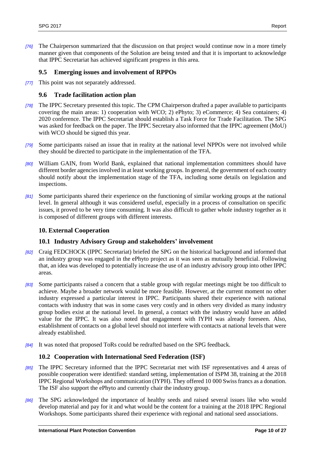*[76]* The Chairperson summarized that the discussion on that project would continue now in a more timely manner given that components of the Solution are being tested and that it is important to acknowledge that IPPC Secretariat has achieved significant progress in this area.

## <span id="page-12-0"></span>**9.5 Emerging issues and involvement of RPPOs**

*[77]* This point was not separately addressed.

#### <span id="page-12-1"></span>**9.6 Trade facilitation action plan**

- *[78]* The IPPC Secretary presented this topic. The CPM Chairperson drafted a paper available to participants covering the main areas: 1) cooperation with WCO; 2) ePhyto; 3) eCommerce; 4) Sea containers; 4) 2020 conference. The IPPC Secretariat should establish a Task Force for Trade Facilitation. The SPG was asked for feedback on the paper. The IPPC Secretary also informed that the IPPC agreement (MoU) with WCO should be signed this year.
- *[79]* Some participants raised an issue that in reality at the national level NPPOs were not involved while they should be directed to participate in the implementation of the TFA.
- *[80]* William GAIN, from World Bank, explained that national implementation committees should have different border agencies involved in at least working groups. In general, the government of each country should notify about the implementation stage of the TFA, including some details on legislation and inspections.
- *[81]* Some participants shared their experience on the functioning of similar working groups at the national level. In general although it was considered useful, especially in a process of consultation on specific issues, it proved to be very time consuming. It was also difficult to gather whole industry together as it is composed of different groups with different interests.

#### <span id="page-12-2"></span>**10. External Cooperation**

#### <span id="page-12-3"></span>**10.1 Industry Advisory Group and stakeholders' involvement**

- *[82]* Craig FEDCHOCK (IPPC Secretariat) briefed the SPG on the historical background and informed that an industry group was engaged in the ePhyto project as it was seen as mutually beneficial. Following that, an idea was developed to potentially increase the use of an industry advisory group into other IPPC areas.
- *[83]* Some participants raised a concern that a stable group with regular meetings might be too difficult to achieve. Maybe a broader network would be more feasible. However, at the current moment no other industry expressed a particular interest in IPPC. Participants shared their experience with national contacts with industry that was in some cases very costly and in others very divided as many industry group bodies exist at the national level. In general, a contact with the industry would have an added value for the IPPC. It was also noted that engagement with IYPH was already foreseen. Also, establishment of contacts on a global level should not interfere with contacts at national levels that were already established.
- *[84]* It was noted that proposed ToRs could be redrafted based on the SPG feedback.

#### <span id="page-12-4"></span>**10.2 Cooperation with International Seed Federation (ISF)**

- *[85]* The IPPC Secretary informed that the IPPC Secretariat met with ISF representatives and 4 areas of possible cooperation were identified: standard setting, implementation of ISPM 38, training at the 2018 IPPC Regional Workshops and communication (IYPH). They offered 10 000 Swiss francs as a donation. The ISF also support the ePhyto and currently chair the industry group.
- *[86]* The SPG acknowledged the importance of healthy seeds and raised several issues like who would develop material and pay for it and what would be the content for a training at the 2018 IPPC Regional Workshops. Some participants shared their experience with regional and national seed associations.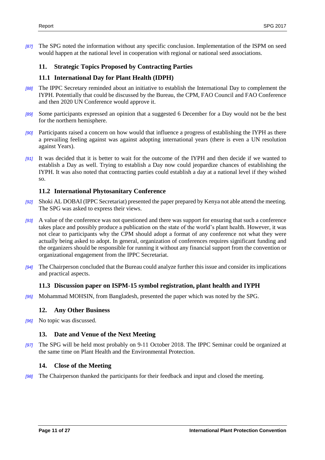*[87]* The SPG noted the information without any specific conclusion. Implementation of the ISPM on seed would happen at the national level in cooperation with regional or national seed associations.

## <span id="page-13-0"></span>**11. Strategic Topics Proposed by Contracting Parties**

## <span id="page-13-1"></span>**11.1 International Day for Plant Health (IDPH)**

- *[88]* The IPPC Secretary reminded about an initiative to establish the International Day to complement the IYPH. Potentially that could be discussed by the Bureau, the CPM, FAO Council and FAO Conference and then 2020 UN Conference would approve it.
- *[89]* Some participants expressed an opinion that a suggested 6 December for a Day would not be the best for the northern hemisphere.
- *[90]* Participants raised a concern on how would that influence a progress of establishing the IYPH as there a prevailing feeling against was against adopting international years (there is even a UN resolution against Years).
- *[91]* It was decided that it is better to wait for the outcome of the IYPH and then decide if we wanted to establish a Day as well. Trying to establish a Day now could jeopardize chances of establishing the IYPH. It was also noted that contracting parties could establish a day at a national level if they wished so.

## <span id="page-13-2"></span>**11.2 International Phytosanitary Conference**

- *[92]* Shoki AL DOBAI (IPPC Secretariat) presented the paper prepared by Kenya not able attend the meeting. The SPG was asked to express their views.
- *[93]* A value of the conference was not questioned and there was support for ensuring that such a conference takes place and possibly produce a publication on the state of the world's plant health. However, it was not clear to participants why the CPM should adopt a format of any conference not what they were actually being asked to adopt. In general, organization of conferences requires significant funding and the organizers should be responsible for running it without any financial support from the convention or organizational engagement from the IPPC Secretariat.
- *[94]* The Chairperson concluded that the Bureau could analyze further this issue and consider its implications and practical aspects.

#### <span id="page-13-3"></span>**11.3 Discussion paper on ISPM-15 symbol registration, plant health and IYPH**

*[95]* Mohammad MOHSIN, from Bangladesh, presented the paper which was noted by the SPG.

#### <span id="page-13-4"></span>**12. Any Other Business**

*[96]* No topic was discussed.

#### <span id="page-13-5"></span>**13. Date and Venue of the Next Meeting**

*[97]* The SPG will be held most probably on 9-11 October 2018. The IPPC Seminar could be organized at the same time on Plant Health and the Environmental Protection.

#### <span id="page-13-6"></span>**14. Close of the Meeting**

*[98]* The Chairperson thanked the participants for their feedback and input and closed the meeting.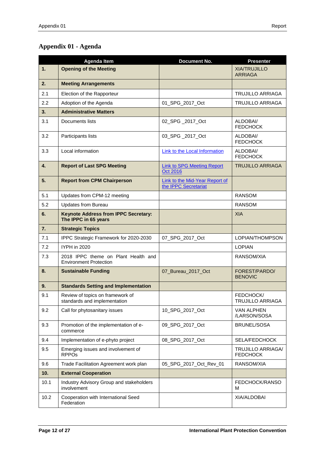# <span id="page-14-0"></span>**Appendix 01 - Agenda**

|      | <b>Agenda Item</b>                                                   | <b>Document No.</b>                                           | <b>Presenter</b>                            |
|------|----------------------------------------------------------------------|---------------------------------------------------------------|---------------------------------------------|
| 1.   | <b>Opening of the Meeting</b>                                        |                                                               | <b>XIA/TRUJILLO</b><br><b>ARRIAGA</b>       |
| 2.   | <b>Meeting Arrangements</b>                                          |                                                               |                                             |
| 2.1  | Election of the Rapporteur                                           |                                                               | <b>TRUJILLO ARRIAGA</b>                     |
| 2.2  | Adoption of the Agenda                                               | 01_SPG_2017_Oct                                               | <b>TRUJILLO ARRIAGA</b>                     |
| 3.   | <b>Administrative Matters</b>                                        |                                                               |                                             |
| 3.1  | Documents lists                                                      | 02 SPG 2017 Oct                                               | ALDOBAI/<br><b>FEDCHOCK</b>                 |
| 3.2  | Participants lists                                                   | 03_SPG_2017_Oct                                               | ALDOBAI/<br><b>FEDCHOCK</b>                 |
| 3.3  | Local information                                                    | <b>Link to the Local Information</b>                          | ALDOBAI/<br><b>FEDCHOCK</b>                 |
| 4.   | <b>Report of Last SPG Meeting</b>                                    | <b>Link to SPG Meeting Report</b><br><b>Oct 2016</b>          | <b>TRUJILLO ARRIAGA</b>                     |
| 5.   | <b>Report from CPM Chairperson</b>                                   | <b>Link to the Mid-Year Report of</b><br>the IPPC Secretariat |                                             |
| 5.1  | Updates from CPM-12 meeting                                          |                                                               | <b>RANSOM</b>                               |
| 5.2  | <b>Updates from Bureau</b>                                           |                                                               | <b>RANSOM</b>                               |
| 6.   | <b>Keynote Address from IPPC Secretary:</b><br>The IPPC in 65 years  |                                                               | <b>XIA</b>                                  |
| 7.   | <b>Strategic Topics</b>                                              |                                                               |                                             |
| 7.1  | IPPC Strategic Framework for 2020-2030                               | 07_SPG_2017_Oct                                               | LOPIAN/THOMPSON                             |
| 7.2  | IYPH in 2020                                                         |                                                               | <b>LOPIAN</b>                               |
| 7.3  | 2018 IPPC theme on Plant Health and<br><b>Environment Protection</b> |                                                               | RANSOM/XIA                                  |
| 8.   | <b>Sustainable Funding</b>                                           | 07_Bureau_2017_Oct                                            | FOREST/PARDO/<br><b>BENOVIC</b>             |
| 9.   | <b>Standards Setting and Implementation</b>                          |                                                               |                                             |
| 9.1  | Review of topics on framework of<br>standards and implementation     |                                                               | FEDCHOCK/<br><b>TRUJILLO ARRIAGA</b>        |
| 9.2  | Call for phytosanitary issues                                        | 10_SPG_2017_Oct                                               | <b>VAN ALPHEN</b><br>/LARSON/SOSA           |
| 9.3  | Promotion of the implementation of e-<br>commerce                    | 09_SPG_2017_Oct                                               | BRUNEL/SOSA                                 |
| 9.4  | Implementation of e-phyto project                                    | 08_SPG_2017_Oct                                               | SELA/FEDCHOCK                               |
| 9.5  | Emerging issues and involvement of<br><b>RPPO<sub>s</sub></b>        |                                                               | <b>TRUJILLO ARRIAGA/</b><br><b>FEDCHOCK</b> |
| 9.6  | Trade Facilitation Agreement work plan                               | 05_SPG_2017_Oct_Rev_01                                        | RANSOM/XIA                                  |
| 10.  | <b>External Cooperation</b>                                          |                                                               |                                             |
| 10.1 | Industry Advisory Group and stakeholders<br>involvement              |                                                               | FEDCHOCK/RANSO<br>м                         |
| 10.2 | Cooperation with International Seed<br>Federation                    |                                                               | XIA/ALDOBAI                                 |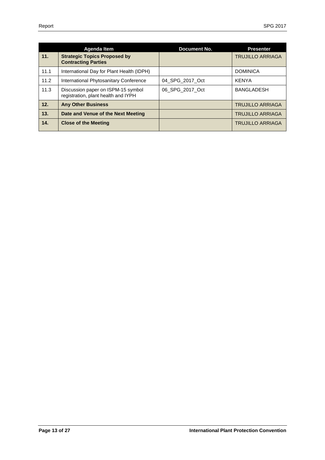|      | Agenda Item                                                               | Document No.    | <b>Presenter</b>        |
|------|---------------------------------------------------------------------------|-----------------|-------------------------|
| 11.  | <b>Strategic Topics Proposed by</b><br><b>Contracting Parties</b>         |                 | <b>TRUJILLO ARRIAGA</b> |
| 11.1 | International Day for Plant Health (IDPH)                                 |                 | <b>DOMINICA</b>         |
| 11.2 | International Phytosanitary Conference                                    | 04 SPG 2017 Oct | <b>KENYA</b>            |
| 11.3 | Discussion paper on ISPM-15 symbol<br>registration, plant health and IYPH | 06 SPG 2017 Oct | <b>BANGLADESH</b>       |
| 12.  | <b>Any Other Business</b>                                                 |                 | <b>TRUJILLO ARRIAGA</b> |
| 13.  | Date and Venue of the Next Meeting                                        |                 | <b>TRUJILLO ARRIAGA</b> |
| 14.  | <b>Close of the Meeting</b>                                               |                 | <b>TRUJILLO ARRIAGA</b> |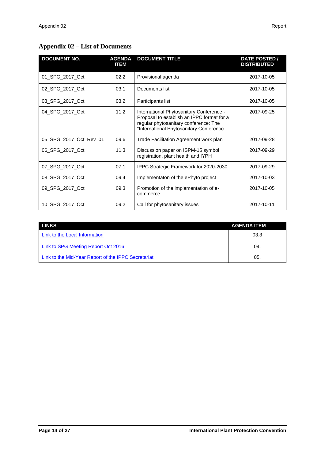# <span id="page-16-0"></span>**Appendix 02 – List of Documents**

| <b>DOCUMENT NO.</b>    | <b>AGENDA</b><br><b>ITEM</b> | <b>DOCUMENT TITLE</b>                                                                                                                                                      | DATE POSTED /<br><b>DISTRIBUTED</b> |
|------------------------|------------------------------|----------------------------------------------------------------------------------------------------------------------------------------------------------------------------|-------------------------------------|
| 01_SPG_2017_Oct        | 02.2                         | Provisional agenda                                                                                                                                                         | 2017-10-05                          |
| 02 SPG 2017 Oct        | 03.1                         | Documents list                                                                                                                                                             | 2017-10-05                          |
| 03 SPG 2017 Oct        | 03.2                         | Participants list                                                                                                                                                          | 2017-10-05                          |
| 04_SPG_2017_Oct        | 11.2                         | International Phytosanitary Conference -<br>Proposal to establish an IPPC format for a<br>regular phytosanitary conference: The<br>"International Phytosanitary Conference | 2017-09-25                          |
| 05_SPG_2017_Oct_Rev_01 | 09.6                         | Trade Facilitation Agreement work plan                                                                                                                                     | 2017-09-28                          |
| 06_SPG_2017_Oct        | 11.3                         | Discussion paper on ISPM-15 symbol<br>registration, plant health and IYPH                                                                                                  | 2017-09-29                          |
| 07 SPG 2017 Oct        | 07.1                         | IPPC Strategic Framework for 2020-2030                                                                                                                                     | 2017-09-29                          |
| 08 SPG 2017 Oct        | 09.4                         | Implementaton of the ePhyto project                                                                                                                                        | 2017-10-03                          |
| 09 SPG 2017 Oct        | 09.3                         | Promotion of the implementation of e-<br>commerce                                                                                                                          | 2017-10-05                          |
| 10 SPG 2017 Oct        | 09.2                         | Call for phytosanitary issues                                                                                                                                              | 2017-10-11                          |

| <b>LINKS</b>                                        | <b>AGENDA ITEM</b> |
|-----------------------------------------------------|--------------------|
| Link to the Local Information                       | 03.3               |
| Link to SPG Meeting Report Oct 2016                 | 04.                |
| Link to the Mid-Year Report of the IPPC Secretariat | 05.                |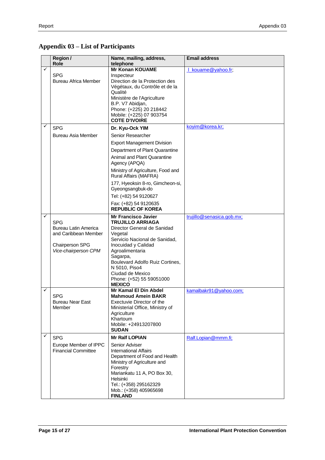# <span id="page-17-0"></span>**Appendix 03 – List of Participants**

|   | Region /<br>Role                                                                                                    | Name, mailing, address,<br>telephone                                                                                                                                                                                                                                                                        | <b>Email address</b>      |
|---|---------------------------------------------------------------------------------------------------------------------|-------------------------------------------------------------------------------------------------------------------------------------------------------------------------------------------------------------------------------------------------------------------------------------------------------------|---------------------------|
| ✓ | <b>SPG</b><br>Bureau Africa Member                                                                                  | <b>Mr Konan KOUAME</b><br>Inspecteur<br>Direction de la Protection des<br>Végétaux, du Contrôle et de la<br>Qualité<br>Ministère de l'Agriculture<br>B.P. V7 Abidjan,<br>Phone: (+225) 20 218442<br>Mobile: (+225) 07 903754<br><b>COTE D'IVOIRE</b>                                                        | I_kouame@yahoo.fr;        |
| ✓ | <b>SPG</b>                                                                                                          | Dr. Kyu-Ock YIM                                                                                                                                                                                                                                                                                             | koyim@korea.kr;           |
|   | Bureau Asia Member                                                                                                  | Senior Researcher                                                                                                                                                                                                                                                                                           |                           |
|   |                                                                                                                     | <b>Export Management Division</b>                                                                                                                                                                                                                                                                           |                           |
|   |                                                                                                                     | Department of Plant Quarantine                                                                                                                                                                                                                                                                              |                           |
|   |                                                                                                                     | <b>Animal and Plant Quarantine</b><br>Agency (APQA)                                                                                                                                                                                                                                                         |                           |
|   |                                                                                                                     | Ministry of Agriculture, Food and<br>Rural Affairs (MAFRA)                                                                                                                                                                                                                                                  |                           |
|   |                                                                                                                     | 177, Hyeoksin 8-ro, Gimcheon-si,<br>Gyeongsangbuk-do                                                                                                                                                                                                                                                        |                           |
|   |                                                                                                                     | Tel: (+82) 54 9120627                                                                                                                                                                                                                                                                                       |                           |
|   |                                                                                                                     | Fax: (+82) 54 9120635<br><b>REPUBLIC OF KOREA</b>                                                                                                                                                                                                                                                           |                           |
| ✓ | <b>SPG</b><br><b>Bureau Latin America</b><br>and Caribbean Member<br><b>Chairperson SPG</b><br>Vice-chairperson CPM | <b>Mr Francisco Javier</b><br><b>TRUJILLO ARRIAGA</b><br>Director General de Sanidad<br>Vegetal<br>Servicio Nacional de Sanidad,<br>Inocuidad y Calidad<br>Agroalimentaria<br>Sagarpa,<br>Boulevard Adolfo Ruiz Cortines,<br>N 5010, Piso4<br>Ciudad de Mexico<br>Phone: (+52) 55 59051000<br><b>MEXICO</b> | trujillo@senasica.gob.mx; |
| ✓ |                                                                                                                     | Mr Kamal El Din Abdel                                                                                                                                                                                                                                                                                       | kamalbakr91@yahoo.com;    |
|   | <b>SPG</b><br><b>Bureau Near East</b><br>Member                                                                     | <b>Mahmoud Amein BAKR</b><br>Exectuvie Director of the<br>Ministerial Office, Ministry of<br>Agriculture<br>Khartoum<br>Mobile: +24913207800<br><b>SUDAN</b>                                                                                                                                                |                           |
| ✓ | <b>SPG</b>                                                                                                          | <b>Mr Ralf LOPIAN</b>                                                                                                                                                                                                                                                                                       | Ralf.Lopian@mmm.fi;       |
|   | Europe Member of IPPC<br><b>Financial Committee</b>                                                                 | Senior Adviser<br><b>International Affairs</b><br>Department of Food and Health<br>Ministry of Agriculture and<br>Forestry<br>Mariankatu 11 A, PO Box 30,<br>Helsinki<br>Tel.: (+358) 295162329<br>Mob.: (+358) 405965698<br><b>FINLAND</b>                                                                 |                           |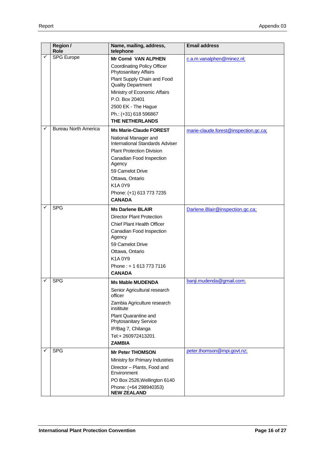|   | Region /<br>Role            | Name, mailing, address,<br>telephone                     | <b>Email address</b>                  |
|---|-----------------------------|----------------------------------------------------------|---------------------------------------|
| ✓ | <b>SPG Europe</b>           | Mr Corné VAN ALPHEN                                      | c.a.m.vanalphen@minez.nl;             |
|   |                             | <b>Coordinating Policy Officer</b>                       |                                       |
|   |                             | Phytosanitary Affairs                                    |                                       |
|   |                             | Plant Supply Chain and Food<br><b>Quality Department</b> |                                       |
|   |                             | Ministry of Economic Affairs                             |                                       |
|   |                             | P.O. Box 20401                                           |                                       |
|   |                             | 2500 EK - The Hague                                      |                                       |
|   |                             | Ph.: (+31) 618 596867                                    |                                       |
|   |                             | THE NETHERLANDS                                          |                                       |
| ✓ | <b>Bureau North America</b> | <b>Ms Marie-Claude FOREST</b>                            | marie-claude.forest@inspection.gc.ca; |
|   |                             | National Manager and<br>International Standards Adviser  |                                       |
|   |                             | <b>Plant Protection Division</b>                         |                                       |
|   |                             | Canadian Food Inspection<br>Agency                       |                                       |
|   |                             | 59 Camelot Drive                                         |                                       |
|   |                             | Ottawa, Ontario                                          |                                       |
|   |                             | K1A0Y9                                                   |                                       |
|   |                             | Phone: (+1) 613 773 7235                                 |                                       |
|   |                             | <b>CANADA</b>                                            |                                       |
|   | <b>SPG</b>                  | <b>Ms Darlene BLAIR</b>                                  | Darlene.Blair@inspection.gc.ca;       |
|   |                             | <b>Director Plant Protection</b>                         |                                       |
|   |                             | <b>Chief Plant Health Officer</b>                        |                                       |
|   |                             | Canadian Food Inspection<br>Agency                       |                                       |
|   |                             | 59 Camelot Drive                                         |                                       |
|   |                             | Ottawa, Ontario                                          |                                       |
|   |                             | K1A0Y9                                                   |                                       |
|   |                             | Phone: +16137737116                                      |                                       |
|   | <b>SPG</b>                  | <b>CANADA</b>                                            |                                       |
|   |                             | <b>Ms Mable MUDENDA</b>                                  | banji.mudenda@gmail.com;              |
|   |                             | Senior Agricultural research<br>officer                  |                                       |
|   |                             | Zambia Agriculture research<br>insititute                |                                       |
|   |                             | Plant Quarantine and<br><b>Phytosanitary Service</b>     |                                       |
|   |                             | IP/Bag 7, Chilanga                                       |                                       |
|   |                             | Tel:+ 260972413201                                       |                                       |
|   |                             | <b>ZAMBIA</b>                                            |                                       |
|   | <b>SPG</b>                  | <b>Mr Peter THOMSON</b>                                  | peter.thomson@mpi.govt.nz;            |
|   |                             | Ministry for Primary Industries                          |                                       |
|   |                             | Director - Plants, Food and<br>Environment               |                                       |
|   |                             | PO Box 2526, Wellington 6140                             |                                       |
|   |                             | Phone: (+64 298940353)<br><b>NEW ZEALAND</b>             |                                       |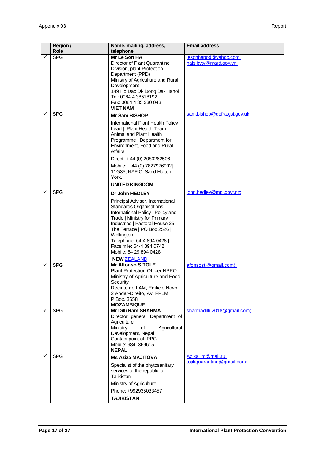|   | <b>Role</b> | telephone                                                                                                                                                                                                                                                                                                                            |                                                 |
|---|-------------|--------------------------------------------------------------------------------------------------------------------------------------------------------------------------------------------------------------------------------------------------------------------------------------------------------------------------------------|-------------------------------------------------|
|   | <b>SPG</b>  | Mr Le Son HA<br>Director of Plant Quarantine<br>Division, plant Protection<br>Department (PPD)<br>Ministry of Agriculture and Rural<br>Development<br>149 Ho Dac Di- Dong Da- Hanoi<br>Tel: 0084 4 38518192<br>Fax: 0084 4 35 330 043<br><b>VIET NAM</b>                                                                             | lesonhappd@yahoo.com;<br>hals.bvtv@mard.gov.vn; |
|   | <b>SPG</b>  | <b>Mr Sam BISHOP</b>                                                                                                                                                                                                                                                                                                                 | sam.bishop@defra.gsi.gov.uk;                    |
|   |             | International Plant Health Policy<br>Lead   Plant Health Team  <br>Animal and Plant Health<br>Programme   Department for<br>Environment, Food and Rural<br>Affairs                                                                                                                                                                   |                                                 |
|   |             | Direct: +44 (0) 2080262506  <br>Mobile: +44 (0) 7827976902<br>11G35, NAFIC, Sand Hutton,<br>York.<br><b>UNITED KINGDOM</b>                                                                                                                                                                                                           |                                                 |
| ✓ | <b>SPG</b>  | Dr John HEDLEY                                                                                                                                                                                                                                                                                                                       | john.hedley@mpi.govt.nz;                        |
|   |             | Principal Adviser, International<br><b>Standards Organisations</b><br>International Policy   Policy and<br>Trade   Ministry for Primary<br>Industries   Pastoral House 25<br>The Terrace   PO Box 2526  <br>Wellington  <br>Telephone: 64-4 894 0428  <br>Facsimile: 64-4 894 0742  <br>Mobile: 64 29 894 0428<br><b>NEW ZEALAND</b> |                                                 |
|   | <b>SPG</b>  | <b>Mr Alfonso SITOLE</b>                                                                                                                                                                                                                                                                                                             | afonsostl@gmail.com);                           |
|   |             | <b>Plant Protection Officer NPPO</b><br>Ministry of Agriculture and Food<br>Security<br>Recinto do IIAM, Edificio Novo,<br>2 Andar-Direito, Av. FPLM<br>P.Box. 3658<br><b>MOZAMBIQUE</b>                                                                                                                                             |                                                 |
| ✓ | <b>SPG</b>  | Mr Dilli Ram SHARMA<br>Director general Department of<br>Agriculture<br>Ministry<br>of<br>Agricultural<br>Development, Nepal<br>Contact point of IPPC<br>Mobile: 9841369615<br><b>NEPAL</b>                                                                                                                                          | sharmadilli.2018@gmail.com;                     |
| ✓ | <b>SPG</b>  | <b>Ms Aziza MAJITOVA</b>                                                                                                                                                                                                                                                                                                             | Azika m@mail.ru;<br>tojikquarantine@gmail.com;  |
|   |             | Specialist of the phytosanitary<br>services of the republic of<br>Tajikistan<br>Ministry of Agriculture<br>Phone: +992935033457<br><b>TAJIKISTAN</b>                                                                                                                                                                                 |                                                 |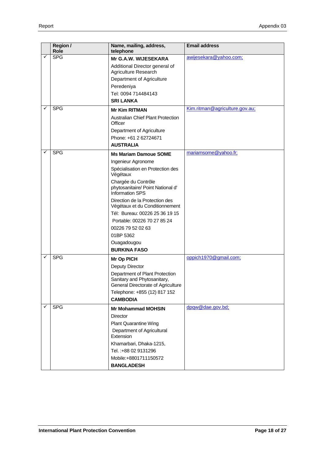|              | Region /<br>Role | Name, mailing, address,<br>telephone                                                                | <b>Email address</b>           |
|--------------|------------------|-----------------------------------------------------------------------------------------------------|--------------------------------|
| $\checkmark$ | <b>SPG</b>       | Mr G.A.W. WIJESEKARA                                                                                | awijesekara@yahoo.com;         |
|              |                  | Additional Director general of                                                                      |                                |
|              |                  | Agriculture Research                                                                                |                                |
|              |                  | Department of Agriculture                                                                           |                                |
|              |                  | Peredeniya                                                                                          |                                |
|              |                  | Tel: 0094 714484143                                                                                 |                                |
|              |                  | <b>SRI LANKA</b>                                                                                    |                                |
| ✓            | <b>SPG</b>       | <b>Mr Kim RITMAN</b>                                                                                | Kim.ritman@agriculture.gov.au; |
|              |                  | <b>Australian Chief Plant Protection</b><br>Officer                                                 |                                |
|              |                  | Department of Agriculture                                                                           |                                |
|              |                  | Phone: +61 2 62724671                                                                               |                                |
|              |                  | <b>AUSTRALIA</b>                                                                                    |                                |
|              | <b>SPG</b>       | <b>Ms Mariam Damoue SOME</b>                                                                        | mariamsome@yahoo.fr;           |
|              |                  | Ingenieur Agronome                                                                                  |                                |
|              |                  | Spécialisation en Protection des<br>Végétaux                                                        |                                |
|              |                  | Chargée du Contrôle<br>phytosanitaire/ Point National d'<br><b>Information SPS</b>                  |                                |
|              |                  | Direction de la Protection des<br>Végétaux et du Conditionnement                                    |                                |
|              |                  | Tél: Bureau: 00226 25 36 19 15                                                                      |                                |
|              |                  | Portable: 00226 70 27 85 24                                                                         |                                |
|              |                  | 00226 79 52 02 63                                                                                   |                                |
|              |                  | 01BP 5362                                                                                           |                                |
|              |                  | Ouagadougou                                                                                         |                                |
|              |                  | <b>BURKINA FASO</b>                                                                                 |                                |
|              | <b>SPG</b>       | Mr Op PICH                                                                                          | oppich1970@gmail.com;          |
|              |                  | Deputy Director                                                                                     |                                |
|              |                  | Department of Plant Protection<br>Sanitary and Phytosanitary,<br>General Directorate of Agriculture |                                |
|              |                  | Telephone: +855 (12) 817 152                                                                        |                                |
|              |                  | <b>CAMBODIA</b>                                                                                     |                                |
| ✓            | <b>SPG</b>       | <b>Mr Mohammad MOHSIN</b>                                                                           | dpqw@dae.gov.bd;               |
|              |                  | <b>Director</b>                                                                                     |                                |
|              |                  | <b>Plant Quarantine Wing</b>                                                                        |                                |
|              |                  | Department of Agricultural<br>Extension                                                             |                                |
|              |                  | Khamarbari, Dhaka-1215,                                                                             |                                |
|              |                  | Tel.: +88 02 9131296                                                                                |                                |
|              |                  | Mobile:+8801711150572                                                                               |                                |
|              |                  | <b>BANGLADESH</b>                                                                                   |                                |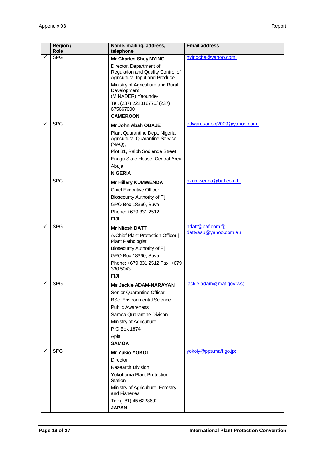|   | Region /<br>Role | Name, mailing, address,<br>telephone                                | <b>Email address</b>                       |
|---|------------------|---------------------------------------------------------------------|--------------------------------------------|
|   | <b>SPG</b>       | <b>Mr Charles Shey NYING</b>                                        | nyingcha@yahoo.com;                        |
|   |                  | Director, Department of                                             |                                            |
|   |                  | Regulation and Quality Control of<br>Agricultural Input and Produce |                                            |
|   |                  | Ministry of Agriculture and Rural                                   |                                            |
|   |                  | Development                                                         |                                            |
|   |                  | (MINADER), Yaounde-                                                 |                                            |
|   |                  | Tel. (237) 222316770/ (237)<br>675667000                            |                                            |
|   |                  | <b>CAMEROON</b>                                                     |                                            |
|   | <b>SPG</b>       | Mr John Abah OBAJE                                                  | edwardsonobj2009@yahoo.com;                |
|   |                  | Plant Quarantine Dept, Nigeria                                      |                                            |
|   |                  | <b>Agricultural Quarantine Service</b><br>(NAQ),                    |                                            |
|   |                  | Plot 81, Ralph Sodiende Street                                      |                                            |
|   |                  | Enugu State House, Central Area                                     |                                            |
|   |                  | Abuja                                                               |                                            |
|   |                  | <b>NIGERIA</b>                                                      |                                            |
|   | <b>SPG</b>       | <b>Mr Hillary KUMWENDA</b>                                          | hkumwenda@baf.com.fj;                      |
|   |                  | <b>Chief Executive Officer</b>                                      |                                            |
|   |                  | Biosecurity Authority of Fiji                                       |                                            |
|   |                  | GPO Box 18360, Suva                                                 |                                            |
|   |                  | Phone: +679 331 2512                                                |                                            |
|   |                  | <b>FIJI</b>                                                         |                                            |
| ✓ | <b>SPG</b>       | <b>Mr Nitesh DATT</b>                                               | ndatt@baf.com.fj;<br>dattvasu@yahoo.com.au |
|   |                  | A/Chief Plant Protection Officer  <br>Plant Pathologist             |                                            |
|   |                  | <b>Biosecurity Authority of Fiji</b>                                |                                            |
|   |                  | GPO Box 18360, Suva                                                 |                                            |
|   |                  | Phone: +679 331 2512 Fax: +679<br>330 5043                          |                                            |
|   |                  | <b>FIJI</b>                                                         |                                            |
| ✓ | <b>SPG</b>       | <b>Ms Jackie ADAM-NARAYAN</b>                                       | jackie.adam@maf.gov.ws;                    |
|   |                  | <b>Senior Quarantine Officer</b>                                    |                                            |
|   |                  | <b>BSc. Environmental Science</b>                                   |                                            |
|   |                  | <b>Public Awareness</b>                                             |                                            |
|   |                  | Samoa Quarantine Divison                                            |                                            |
|   |                  | Ministry of Agriculture<br>P.O Box 1874                             |                                            |
|   |                  |                                                                     |                                            |
|   |                  | Apia<br><b>SAMOA</b>                                                |                                            |
| ✓ | <b>SPG</b>       | <b>Mr Yukio YOKOI</b>                                               | yokoiy@pps.maff.go.jp;                     |
|   |                  | Director                                                            |                                            |
|   |                  | <b>Research Division</b>                                            |                                            |
|   |                  | Yokohama Plant Protection<br>Station                                |                                            |
|   |                  | Ministry of Agriculture, Forestry<br>and Fisheries                  |                                            |
|   |                  | Tel: (+81) 45 6228692                                               |                                            |
|   |                  | <b>JAPAN</b>                                                        |                                            |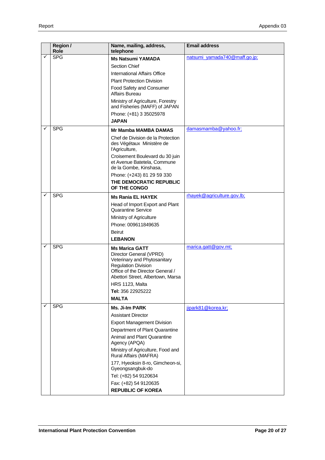|              | Region /<br>Role | Name, mailing, address,<br>telephone                                                                                                                                                                                          | <b>Email address</b>          |
|--------------|------------------|-------------------------------------------------------------------------------------------------------------------------------------------------------------------------------------------------------------------------------|-------------------------------|
| $\checkmark$ | <b>SPG</b>       | <b>Ms Natsumi YAMADA</b>                                                                                                                                                                                                      | natsumi_yamada740@maff.go.jp; |
|              |                  | Section Chief                                                                                                                                                                                                                 |                               |
|              |                  | International Affairs Office                                                                                                                                                                                                  |                               |
|              |                  | <b>Plant Protection Division</b>                                                                                                                                                                                              |                               |
|              |                  | Food Safety and Consumer<br>Affairs Bureau                                                                                                                                                                                    |                               |
|              |                  | Ministry of Agriculture, Forestry<br>and Fisheries (MAFF) of JAPAN                                                                                                                                                            |                               |
|              |                  | Phone: (+81) 3 35025978                                                                                                                                                                                                       |                               |
|              |                  | <b>JAPAN</b>                                                                                                                                                                                                                  |                               |
|              | <b>SPG</b>       | Mr Mamba MAMBA DAMAS                                                                                                                                                                                                          | damasmamba@yahoo.fr;          |
|              |                  | Chef de Division de la Protection<br>des Végétaux Ministère de<br>l'Agriculture,                                                                                                                                              |                               |
|              |                  | Croisement Boulevard du 30 juin<br>et Avenue Batetela, Commune<br>de la Gombe, Kinshasa,                                                                                                                                      |                               |
|              |                  | Phone: (+243) 81 29 59 330                                                                                                                                                                                                    |                               |
|              |                  | THE DEMOCRATIC REPUBLIC<br>OF THE CONGO                                                                                                                                                                                       |                               |
| ✓            | <b>SPG</b>       | <b>Ms Rania EL HAYEK</b>                                                                                                                                                                                                      | rhayek@agriculture.gov.lb;    |
|              |                  | Head of Import Export and Plant<br>Quarantine Service                                                                                                                                                                         |                               |
|              |                  | Ministry of Agriculture                                                                                                                                                                                                       |                               |
|              |                  | Phone: 009611849635                                                                                                                                                                                                           |                               |
|              |                  | Beirut                                                                                                                                                                                                                        |                               |
|              |                  | <b>LEBANON</b>                                                                                                                                                                                                                |                               |
|              | <b>SPG</b>       | <b>Ms Marica GATT</b>                                                                                                                                                                                                         | marica.gatt@gov.mt;           |
|              |                  | Director General (VPRD)<br>Veterinary and Phytosanitary<br><b>Regulation Division</b><br>Office of the Director General /<br>Abettori Street, Albertown, Marsa<br><b>HRS 1123, Malta</b><br>Tel: 356 22925222<br><b>MALTA</b> |                               |
| ✓            | <b>SPG</b>       | <b>Ms. Ji-Im PARK</b>                                                                                                                                                                                                         | jipark81@korea.kr;            |
|              |                  | <b>Assistant Director</b>                                                                                                                                                                                                     |                               |
|              |                  | <b>Export Management Division</b>                                                                                                                                                                                             |                               |
|              |                  | Department of Plant Quarantine                                                                                                                                                                                                |                               |
|              |                  | Animal and Plant Quarantine<br>Agency (APQA)                                                                                                                                                                                  |                               |
|              |                  | Ministry of Agriculture, Food and<br>Rural Affairs (MAFRA)                                                                                                                                                                    |                               |
|              |                  | 177, Hyeoksin 8-ro, Gimcheon-si,<br>Gyeongsangbuk-do                                                                                                                                                                          |                               |
|              |                  | Tel: (+82) 54 9120634                                                                                                                                                                                                         |                               |
|              |                  | Fax: (+82) 54 9120635<br><b>REPUBLIC OF KOREA</b>                                                                                                                                                                             |                               |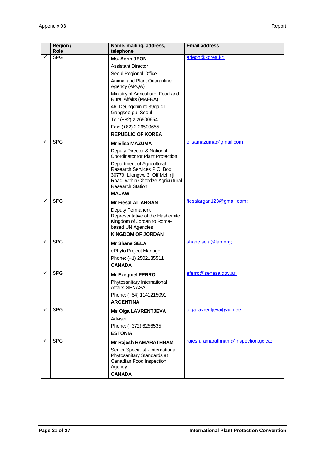|   | Region /<br>Role | Name, mailing, address,<br>telephone                                                                                                                        | <b>Email address</b>                 |
|---|------------------|-------------------------------------------------------------------------------------------------------------------------------------------------------------|--------------------------------------|
| ✓ | <b>SPG</b>       | Ms. Aerin JEON                                                                                                                                              | arjeon@korea.kr;                     |
|   |                  | <b>Assistant Director</b>                                                                                                                                   |                                      |
|   |                  | Seoul Regional Office                                                                                                                                       |                                      |
|   |                  | Animal and Plant Quarantine                                                                                                                                 |                                      |
|   |                  | Agency (APQA)                                                                                                                                               |                                      |
|   |                  | Ministry of Agriculture, Food and<br>Rural Affairs (MAFRA)                                                                                                  |                                      |
|   |                  | 46, Deungchin-ro 39ga-gil,<br>Gangseo-gu, Seoul                                                                                                             |                                      |
|   |                  | Tel: (+82) 2 26500654                                                                                                                                       |                                      |
|   |                  | Fax: (+82) 2 26500655                                                                                                                                       |                                      |
|   |                  | <b>REPUBLIC OF KOREA</b>                                                                                                                                    |                                      |
|   | <b>SPG</b>       | <b>Mr Elisa MAZUMA</b>                                                                                                                                      | elisamazuma@gmail.com;               |
|   |                  | Deputy Director & National<br>Coordinator for Plant Protection                                                                                              |                                      |
|   |                  | Department of Agricultural<br>Research Services P.O. Box<br>30779, Lilongwe 3, Off Mchinji<br>Road, within Chitedze Agricultural<br><b>Research Station</b> |                                      |
|   |                  | <b>MALAWI</b>                                                                                                                                               |                                      |
| ✓ | <b>SPG</b>       | <b>Mr Fiesal AL ARGAN</b>                                                                                                                                   | fiesalargan123@gmail.com;            |
|   |                  | Deputy Permanent<br>Representative of the Hashemite<br>Kingdom of Jordan to Rome-<br>based UN Agencies                                                      |                                      |
|   |                  | <b>KINGDOM OF JORDAN</b>                                                                                                                                    |                                      |
|   | <b>SPG</b>       | <b>Mr Shane SELA</b>                                                                                                                                        | shane.sela@fao.org;                  |
|   |                  | ePhyto Project Manager                                                                                                                                      |                                      |
|   |                  | Phone: (+1) 2502135511                                                                                                                                      |                                      |
|   |                  | <b>CANADA</b>                                                                                                                                               |                                      |
|   | <b>SPG</b>       | <b>Mr Ezequiel FERRO</b>                                                                                                                                    | eferro@senasa.gov.ar;                |
|   |                  | Phytosanitary International<br>Affairs-SENASA                                                                                                               |                                      |
|   |                  | Phone: (+54) 1141215091                                                                                                                                     |                                      |
|   |                  | <b>ARGENTINA</b>                                                                                                                                            |                                      |
|   | <b>SPG</b>       | <b>Ms Olga LAVRENTJEVA</b>                                                                                                                                  | olga.lavrentjeva@agri.ee;            |
|   |                  | Adviser                                                                                                                                                     |                                      |
|   |                  | Phone: (+372) 6256535<br><b>ESTONIA</b>                                                                                                                     |                                      |
|   | <b>SPG</b>       | Mr Rajesh RAMARATHNAM                                                                                                                                       | rajesh.ramarathnam@inspection.gc.ca; |
|   |                  | Senior Specialist - International<br>Phytosanitary Standards at<br>Canadian Food Inspection<br>Agency<br><b>CANADA</b>                                      |                                      |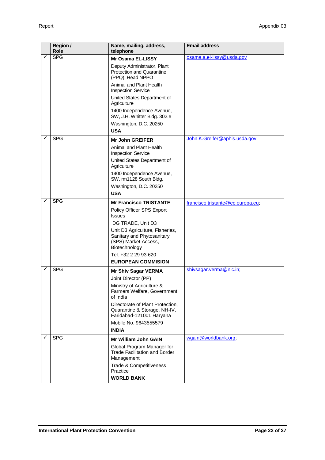|              | Region /<br>Role | Name, mailing, address,<br>telephone                                                                   | <b>Email address</b>              |
|--------------|------------------|--------------------------------------------------------------------------------------------------------|-----------------------------------|
| $\checkmark$ | <b>SPG</b>       | Mr Osama EL-LISSY                                                                                      | osama.a.el-lissy@usda.gov         |
|              |                  | Deputy Administrator, Plant<br>Protection and Quarantine<br>(PPQ), Head NPPO                           |                                   |
|              |                  | Animal and Plant Health<br><b>Inspection Service</b>                                                   |                                   |
|              |                  | United States Department of<br>Agriculture                                                             |                                   |
|              |                  | 1400 Independence Avenue,<br>SW, J.H. Whitter Bldg. 302.e                                              |                                   |
|              |                  | Washington, D.C. 20250                                                                                 |                                   |
|              |                  | <b>USA</b>                                                                                             |                                   |
|              | <b>SPG</b>       | <b>Mr John GREIFER</b>                                                                                 | John.K.Greifer@aphis.usda.gov;    |
|              |                  | Animal and Plant Health<br><b>Inspection Service</b>                                                   |                                   |
|              |                  | United States Department of<br>Agriculture                                                             |                                   |
|              |                  | 1400 Independence Avenue,<br>SW, rm1128 South Bldg.                                                    |                                   |
|              |                  | Washington, D.C. 20250                                                                                 |                                   |
|              |                  | <b>USA</b>                                                                                             |                                   |
|              | <b>SPG</b>       | <b>Mr Francisco TRISTANTE</b>                                                                          | francisco.tristante@ec.europa.eu; |
|              |                  | Policy Officer SPS Export<br><b>Issues</b>                                                             |                                   |
|              |                  | DG TRADE, Unit D3                                                                                      |                                   |
|              |                  | Unit D3 Agriculture, Fisheries,<br>Sanitary and Phytosanitary<br>(SPS) Market Access,<br>Biotechnology |                                   |
|              |                  | Tel. +32 2 29 93 620                                                                                   |                                   |
|              |                  | <b>EUROPEAN COMMISION</b>                                                                              |                                   |
| ✓            | <b>SPG</b>       | <b>Mr Shiv Sagar VERMA</b>                                                                             | shivsagar.verma@nic.in;           |
|              |                  | Joint Director (PP)                                                                                    |                                   |
|              |                  | Ministry of Agriculture &<br>Farmers Welfare, Government<br>of India                                   |                                   |
|              |                  | Directorate of Plant Protection,<br>Quarantine & Storage, NH-IV,<br>Faridabad-121001 Haryana           |                                   |
|              |                  | Mobile No. 9643555579                                                                                  |                                   |
|              |                  | <b>INDIA</b>                                                                                           |                                   |
| ✓            | <b>SPG</b>       | <b>Mr William John GAIN</b>                                                                            | wgain@worldbank.org;              |
|              |                  | Global Program Manager for<br><b>Trade Facilitation and Border</b><br>Management                       |                                   |
|              |                  | Trade & Competitiveness<br>Practice                                                                    |                                   |
|              |                  | <b>WORLD BANK</b>                                                                                      |                                   |